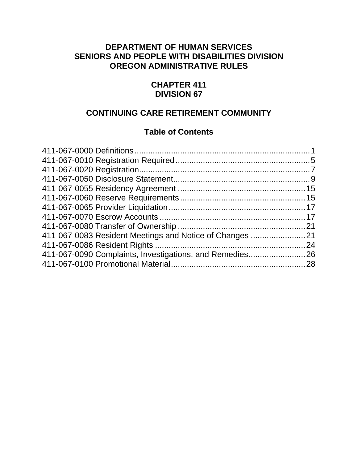#### **DEPARTMENT OF HUMAN SERVICES SENIORS AND PEOPLE WITH DISABILITIES DIVISION OREGON ADMINISTRATIVE RULES**

#### **CHAPTER 411 DIVISION 67**

#### **CONTINUING CARE RETIREMENT COMMUNITY**

#### **Table of Contents**

| 411-067-0083 Resident Meetings and Notice of Changes    |  |
|---------------------------------------------------------|--|
|                                                         |  |
| 411-067-0090 Complaints, Investigations, and Remedies26 |  |
|                                                         |  |
|                                                         |  |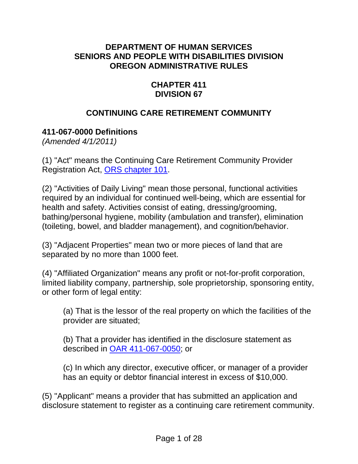#### <span id="page-1-0"></span>**DEPARTMENT OF HUMAN SERVICES SENIORS AND PEOPLE WITH DISABILITIES DIVISION OREGON ADMINISTRATIVE RULES**

#### **CHAPTER 411 DIVISION 67**

# **CONTINUING CARE RETIREMENT COMMUNITY**

# **411-067-0000 Definitions**

*(Amended 4/1/2011)* 

(1) "Act" means the Continuing Care Retirement Community Provider Registration Act, [ORS chapter 101.](http://www.leg.state.or.us/ors/101.html)

(2) "Activities of Daily Living" mean those personal, functional activities required by an individual for continued well-being, which are essential for health and safety. Activities consist of eating, dressing/grooming, bathing/personal hygiene, mobility (ambulation and transfer), elimination (toileting, bowel, and bladder management), and cognition/behavior.

(3) "Adjacent Properties" mean two or more pieces of land that are separated by no more than 1000 feet.

(4) "Affiliated Organization" means any profit or not-for-profit corporation, limited liability company, partnership, sole proprietorship, sponsoring entity, or other form of legal entity:

(a) That is the lessor of the real property on which the facilities of the provider are situated;

(b) That a provider has identified in the disclosure statement as described in [OAR 411-067-0050;](#page-9-0) or

(c) In which any director, executive officer, or manager of a provider has an equity or debtor financial interest in excess of \$10,000.

(5) "Applicant" means a provider that has submitted an application and disclosure statement to register as a continuing care retirement community.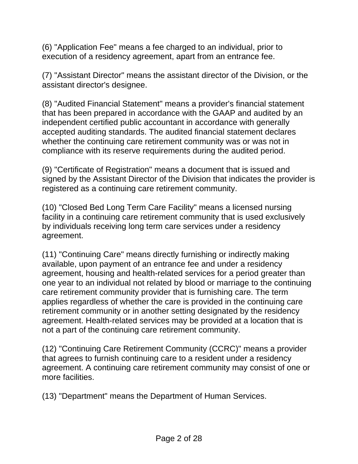(6) "Application Fee" means a fee charged to an individual, prior to execution of a residency agreement, apart from an entrance fee.

(7) "Assistant Director" means the assistant director of the Division, or the assistant director's designee.

(8) "Audited Financial Statement" means a provider's financial statement that has been prepared in accordance with the GAAP and audited by an independent certified public accountant in accordance with generally accepted auditing standards. The audited financial statement declares whether the continuing care retirement community was or was not in compliance with its reserve requirements during the audited period.

(9) "Certificate of Registration" means a document that is issued and signed by the Assistant Director of the Division that indicates the provider is registered as a continuing care retirement community.

(10) "Closed Bed Long Term Care Facility" means a licensed nursing facility in a continuing care retirement community that is used exclusively by individuals receiving long term care services under a residency agreement.

(11) "Continuing Care" means directly furnishing or indirectly making available, upon payment of an entrance fee and under a residency agreement, housing and health-related services for a period greater than one year to an individual not related by blood or marriage to the continuing care retirement community provider that is furnishing care. The term applies regardless of whether the care is provided in the continuing care retirement community or in another setting designated by the residency agreement. Health-related services may be provided at a location that is not a part of the continuing care retirement community.

(12) "Continuing Care Retirement Community (CCRC)" means a provider that agrees to furnish continuing care to a resident under a residency agreement. A continuing care retirement community may consist of one or more facilities.

(13) "Department" means the Department of Human Services.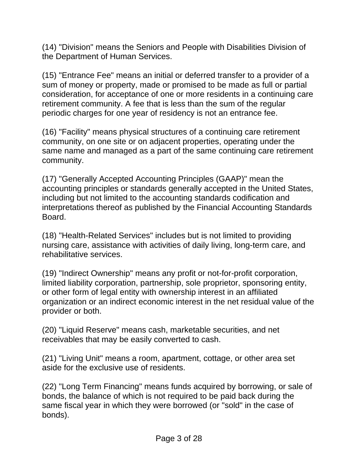(14) "Division" means the Seniors and People with Disabilities Division of the Department of Human Services.

(15) "Entrance Fee" means an initial or deferred transfer to a provider of a sum of money or property, made or promised to be made as full or partial consideration, for acceptance of one or more residents in a continuing care retirement community. A fee that is less than the sum of the regular periodic charges for one year of residency is not an entrance fee.

(16) "Facility" means physical structures of a continuing care retirement community, on one site or on adjacent properties, operating under the same name and managed as a part of the same continuing care retirement community.

(17) "Generally Accepted Accounting Principles (GAAP)" mean the accounting principles or standards generally accepted in the United States, including but not limited to the accounting standards codification and interpretations thereof as published by the Financial Accounting Standards **Board** 

(18) "Health-Related Services" includes but is not limited to providing nursing care, assistance with activities of daily living, long-term care, and rehabilitative services.

(19) "Indirect Ownership" means any profit or not-for-profit corporation, limited liability corporation, partnership, sole proprietor, sponsoring entity, or other form of legal entity with ownership interest in an affiliated organization or an indirect economic interest in the net residual value of the provider or both.

(20) "Liquid Reserve" means cash, marketable securities, and net receivables that may be easily converted to cash.

(21) "Living Unit" means a room, apartment, cottage, or other area set aside for the exclusive use of residents.

(22) "Long Term Financing" means funds acquired by borrowing, or sale of bonds, the balance of which is not required to be paid back during the same fiscal year in which they were borrowed (or "sold" in the case of bonds).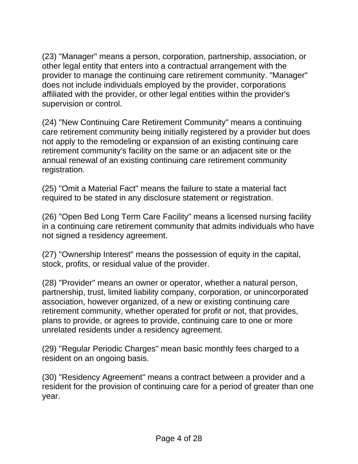(23) "Manager" means a person, corporation, partnership, association, or other legal entity that enters into a contractual arrangement with the provider to manage the continuing care retirement community. "Manager" does not include individuals employed by the provider, corporations affiliated with the provider, or other legal entities within the provider's supervision or control.

(24) "New Continuing Care Retirement Community" means a continuing care retirement community being initially registered by a provider but does not apply to the remodeling or expansion of an existing continuing care retirement community's facility on the same or an adjacent site or the annual renewal of an existing continuing care retirement community registration.

(25) "Omit a Material Fact" means the failure to state a material fact required to be stated in any disclosure statement or registration.

(26) "Open Bed Long Term Care Facility" means a licensed nursing facility in a continuing care retirement community that admits individuals who have not signed a residency agreement.

(27) "Ownership Interest" means the possession of equity in the capital, stock, profits, or residual value of the provider.

(28) "Provider" means an owner or operator, whether a natural person, partnership, trust, limited liability company, corporation, or unincorporated association, however organized, of a new or existing continuing care retirement community, whether operated for profit or not, that provides, plans to provide, or agrees to provide, continuing care to one or more unrelated residents under a residency agreement.

(29) "Regular Periodic Charges" mean basic monthly fees charged to a resident on an ongoing basis.

(30) "Residency Agreement" means a contract between a provider and a resident for the provision of continuing care for a period of greater than one year.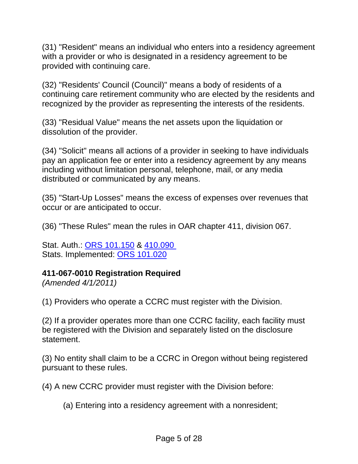<span id="page-5-0"></span>(31) "Resident" means an individual who enters into a residency agreement with a provider or who is designated in a residency agreement to be provided with continuing care.

(32) "Residents' Council (Council)" means a body of residents of a continuing care retirement community who are elected by the residents and recognized by the provider as representing the interests of the residents.

(33) "Residual Value" means the net assets upon the liquidation or dissolution of the provider.

(34) "Solicit" means all actions of a provider in seeking to have individuals pay an application fee or enter into a residency agreement by any means including without limitation personal, telephone, mail, or any media distributed or communicated by any means.

(35) "Start-Up Losses" means the excess of expenses over revenues that occur or are anticipated to occur.

(36) "These Rules" mean the rules in OAR chapter 411, division 067.

Stat. Auth.: [ORS 101.150](http://www.leg.state.or.us/ors/101.html) & [410.090](http://www.leg.state.or.us/ors/410.html)  Stats. Implemented: [ORS 101.020](http://www.leg.state.or.us/ors/101.html)

#### **411-067-0010 Registration Required**

*(Amended 4/1/2011)* 

(1) Providers who operate a CCRC must register with the Division.

(2) If a provider operates more than one CCRC facility, each facility must be registered with the Division and separately listed on the disclosure statement.

(3) No entity shall claim to be a CCRC in Oregon without being registered pursuant to these rules.

(4) A new CCRC provider must register with the Division before:

(a) Entering into a residency agreement with a nonresident;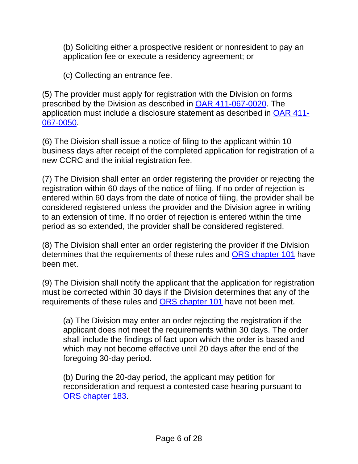(b) Soliciting either a prospective resident or nonresident to pay an application fee or execute a residency agreement; or

(c) Collecting an entrance fee.

(5) The provider must apply for registration with the Division on forms prescribed by the Division as described in [OAR 411-067-0020.](#page-7-0) The application must include a disclosure statement as described in [OAR 411-](#page-9-0) [067-0050](#page-9-0).

(6) The Division shall issue a notice of filing to the applicant within 10 business days after receipt of the completed application for registration of a new CCRC and the initial registration fee.

(7) The Division shall enter an order registering the provider or rejecting the registration within 60 days of the notice of filing. If no order of rejection is entered within 60 days from the date of notice of filing, the provider shall be considered registered unless the provider and the Division agree in writing to an extension of time. If no order of rejection is entered within the time period as so extended, the provider shall be considered registered.

(8) The Division shall enter an order registering the provider if the Division determines that the requirements of these rules and [ORS chapter 101](http://www.leg.state.or.us/ors/101.html) have been met.

(9) The Division shall notify the applicant that the application for registration must be corrected within 30 days if the Division determines that any of the requirements of these rules and [ORS chapter 101](http://www.leg.state.or.us/ors/101.html) have not been met.

(a) The Division may enter an order rejecting the registration if the applicant does not meet the requirements within 30 days. The order shall include the findings of fact upon which the order is based and which may not become effective until 20 days after the end of the foregoing 30-day period.

(b) During the 20-day period, the applicant may petition for reconsideration and request a contested case hearing pursuant to [ORS chapter 183](http://www.leg.state.or.us/ors/183.html).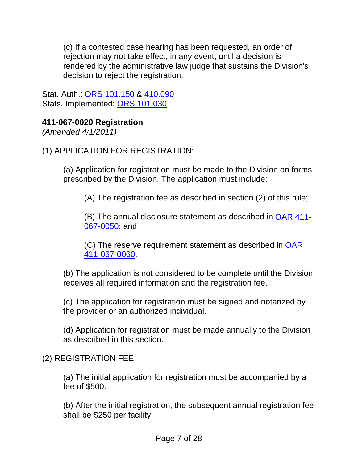<span id="page-7-0"></span>(c) If a contested case hearing has been requested, an order of rejection may not take effect, in any event, until a decision is rendered by the administrative law judge that sustains the Division's decision to reject the registration.

Stat. Auth.: [ORS 101.150](http://www.leg.state.or.us/ors/101.html) & [410.090](http://www.leg.state.or.us/ors/410.html)  Stats. Implemented: [ORS 101.030](http://www.leg.state.or.us/ors/101.html)

# **411-067-0020 Registration**

*(Amended 4/1/2011)* 

(1) APPLICATION FOR REGISTRATION:

(a) Application for registration must be made to the Division on forms prescribed by the Division. The application must include:

(A) The registration fee as described in section (2) of this rule;

(B) The annual disclosure statement as described in [OAR 411-](#page-9-0) [067-0050](#page-9-0); and

(C) The reserve requirement statement as described in [OAR](#page-15-0)  [411-067-0060](#page-15-0).

(b) The application is not considered to be complete until the Division receives all required information and the registration fee.

(c) The application for registration must be signed and notarized by the provider or an authorized individual.

(d) Application for registration must be made annually to the Division as described in this section.

# (2) REGISTRATION FEE:

(a) The initial application for registration must be accompanied by a fee of \$500.

(b) After the initial registration, the subsequent annual registration fee shall be \$250 per facility.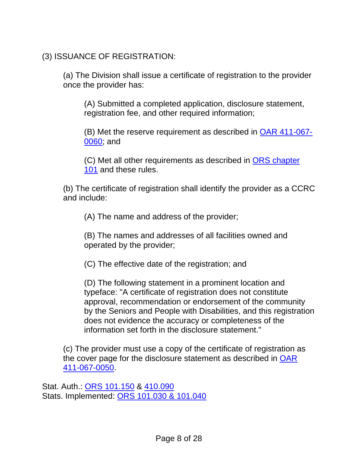(3) ISSUANCE OF REGISTRATION:

(a) The Division shall issue a certificate of registration to the provider once the provider has:

(A) Submitted a completed application, disclosure statement, registration fee, and other required information;

(B) Met the reserve requirement as described in [OAR 411-067-](#page-15-0) [0060](#page-15-0); and

(C) Met all other requirements as described in [ORS chapter](http://www.leg.state.or.us/ors/101.html)  [101](http://www.leg.state.or.us/ors/101.html) and these rules.

(b) The certificate of registration shall identify the provider as a CCRC and include:

(A) The name and address of the provider;

(B) The names and addresses of all facilities owned and operated by the provider;

(C) The effective date of the registration; and

(D) The following statement in a prominent location and typeface: "A certificate of registration does not constitute approval, recommendation or endorsement of the community by the Seniors and People with Disabilities, and this registration does not evidence the accuracy or completeness of the information set forth in the disclosure statement."

(c) The provider must use a copy of the certificate of registration as the cover page for the disclosure statement as described in [OAR](#page-9-0)  [411-067-0050](#page-9-0).

Stat. Auth.: [ORS 101.150](http://www.leg.state.or.us/ors/101.html) & [410.090](http://www.leg.state.or.us/ors/410.html)  Stats. Implemented: [ORS 101.030 & 101.040](http://www.leg.state.or.us/ors/101.html)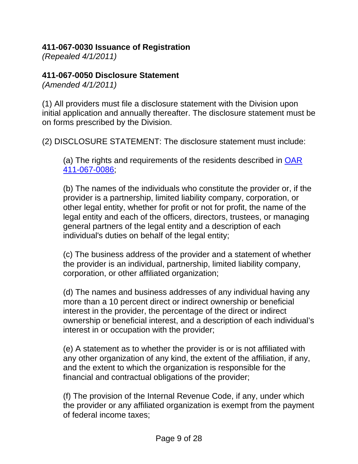#### <span id="page-9-0"></span>**411-067-0030 Issuance of Registration**

*(Repealed 4/1/2011)*

# **411-067-0050 Disclosure Statement**

*(Amended 4/1/2011)* 

(1) All providers must file a disclosure statement with the Division upon initial application and annually thereafter. The disclosure statement must be on forms prescribed by the Division.

(2) DISCLOSURE STATEMENT: The disclosure statement must include:

(a) The rights and requirements of the residents described in [OAR](#page-24-0)  [411-067-0086](#page-24-0);

(b) The names of the individuals who constitute the provider or, if the provider is a partnership, limited liability company, corporation, or other legal entity, whether for profit or not for profit, the name of the legal entity and each of the officers, directors, trustees, or managing general partners of the legal entity and a description of each individual's duties on behalf of the legal entity;

(c) The business address of the provider and a statement of whether the provider is an individual, partnership, limited liability company, corporation, or other affiliated organization;

(d) The names and business addresses of any individual having any more than a 10 percent direct or indirect ownership or beneficial interest in the provider, the percentage of the direct or indirect ownership or beneficial interest, and a description of each individual's interest in or occupation with the provider;

(e) A statement as to whether the provider is or is not affiliated with any other organization of any kind, the extent of the affiliation, if any, and the extent to which the organization is responsible for the financial and contractual obligations of the provider;

(f) The provision of the Internal Revenue Code, if any, under which the provider or any affiliated organization is exempt from the payment of federal income taxes;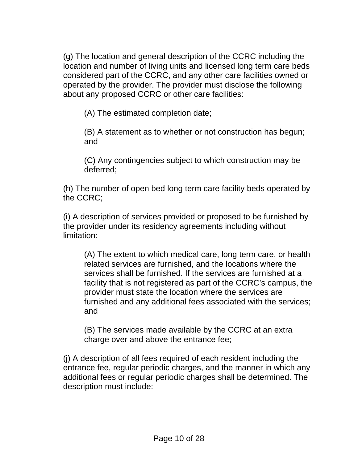(g) The location and general description of the CCRC including the location and number of living units and licensed long term care beds considered part of the CCRC, and any other care facilities owned or operated by the provider. The provider must disclose the following about any proposed CCRC or other care facilities:

(A) The estimated completion date;

(B) A statement as to whether or not construction has begun; and

(C) Any contingencies subject to which construction may be deferred;

(h) The number of open bed long term care facility beds operated by the CCRC;

(i) A description of services provided or proposed to be furnished by the provider under its residency agreements including without limitation:

(A) The extent to which medical care, long term care, or health related services are furnished, and the locations where the services shall be furnished. If the services are furnished at a facility that is not registered as part of the CCRC's campus, the provider must state the location where the services are furnished and any additional fees associated with the services; and

(B) The services made available by the CCRC at an extra charge over and above the entrance fee;

(j) A description of all fees required of each resident including the entrance fee, regular periodic charges, and the manner in which any additional fees or regular periodic charges shall be determined. The description must include: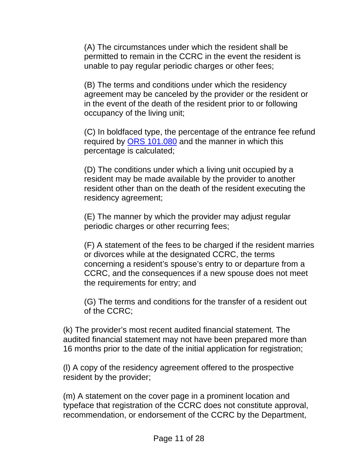(A) The circumstances under which the resident shall be permitted to remain in the CCRC in the event the resident is unable to pay regular periodic charges or other fees;

(B) The terms and conditions under which the residency agreement may be canceled by the provider or the resident or in the event of the death of the resident prior to or following occupancy of the living unit;

(C) In boldfaced type, the percentage of the entrance fee refund required by [ORS 101.080](http://www.leg.state.or.us/ors/101.html) and the manner in which this percentage is calculated;

(D) The conditions under which a living unit occupied by a resident may be made available by the provider to another resident other than on the death of the resident executing the residency agreement;

(E) The manner by which the provider may adjust regular periodic charges or other recurring fees;

(F) A statement of the fees to be charged if the resident marries or divorces while at the designated CCRC, the terms concerning a resident's spouse's entry to or departure from a CCRC, and the consequences if a new spouse does not meet the requirements for entry; and

(G) The terms and conditions for the transfer of a resident out of the CCRC;

(k) The provider's most recent audited financial statement. The audited financial statement may not have been prepared more than 16 months prior to the date of the initial application for registration;

(l) A copy of the residency agreement offered to the prospective resident by the provider;

(m) A statement on the cover page in a prominent location and typeface that registration of the CCRC does not constitute approval, recommendation, or endorsement of the CCRC by the Department,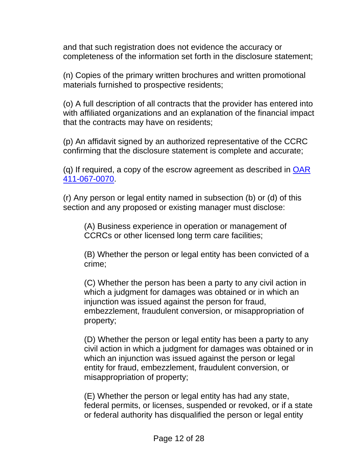and that such registration does not evidence the accuracy or completeness of the information set forth in the disclosure statement;

(n) Copies of the primary written brochures and written promotional materials furnished to prospective residents;

(o) A full description of all contracts that the provider has entered into with affiliated organizations and an explanation of the financial impact that the contracts may have on residents;

(p) An affidavit signed by an authorized representative of the CCRC confirming that the disclosure statement is complete and accurate;

(q) If required, a copy of the escrow agreement as described in [OAR](#page-17-0)  [411-067-0070](#page-17-0).

(r) Any person or legal entity named in subsection (b) or (d) of this section and any proposed or existing manager must disclose:

(A) Business experience in operation or management of CCRCs or other licensed long term care facilities;

(B) Whether the person or legal entity has been convicted of a crime;

(C) Whether the person has been a party to any civil action in which a judgment for damages was obtained or in which an injunction was issued against the person for fraud, embezzlement, fraudulent conversion, or misappropriation of property;

(D) Whether the person or legal entity has been a party to any civil action in which a judgment for damages was obtained or in which an injunction was issued against the person or legal entity for fraud, embezzlement, fraudulent conversion, or misappropriation of property;

(E) Whether the person or legal entity has had any state, federal permits, or licenses, suspended or revoked, or if a state or federal authority has disqualified the person or legal entity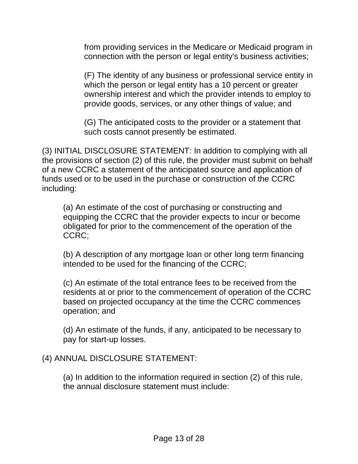from providing services in the Medicare or Medicaid program in connection with the person or legal entity's business activities;

(F) The identity of any business or professional service entity in which the person or legal entity has a 10 percent or greater ownership interest and which the provider intends to employ to provide goods, services, or any other things of value; and

(G) The anticipated costs to the provider or a statement that such costs cannot presently be estimated.

(3) INITIAL DISCLOSURE STATEMENT: In addition to complying with all the provisions of section (2) of this rule, the provider must submit on behalf of a new CCRC a statement of the anticipated source and application of funds used or to be used in the purchase or construction of the CCRC including:

(a) An estimate of the cost of purchasing or constructing and equipping the CCRC that the provider expects to incur or become obligated for prior to the commencement of the operation of the CCRC;

(b) A description of any mortgage loan or other long term financing intended to be used for the financing of the CCRC;

(c) An estimate of the total entrance fees to be received from the residents at or prior to the commencement of operation of the CCRC based on projected occupancy at the time the CCRC commences operation; and

(d) An estimate of the funds, if any, anticipated to be necessary to pay for start-up losses.

# (4) ANNUAL DISCLOSURE STATEMENT:

(a) In addition to the information required in section (2) of this rule, the annual disclosure statement must include: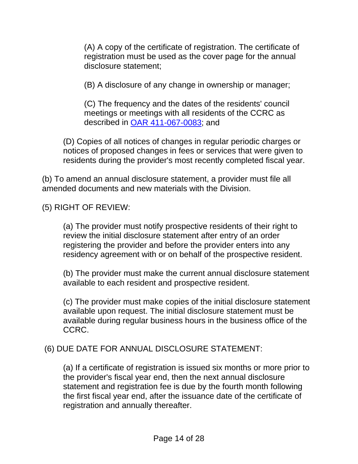(A) A copy of the certificate of registration. The certificate of registration must be used as the cover page for the annual disclosure statement;

(B) A disclosure of any change in ownership or manager;

(C) The frequency and the dates of the residents' council meetings or meetings with all residents of the CCRC as described in [OAR 411-067-0083;](#page-21-0) and

(D) Copies of all notices of changes in regular periodic charges or notices of proposed changes in fees or services that were given to residents during the provider's most recently completed fiscal year.

(b) To amend an annual disclosure statement, a provider must file all amended documents and new materials with the Division.

(5) RIGHT OF REVIEW:

(a) The provider must notify prospective residents of their right to review the initial disclosure statement after entry of an order registering the provider and before the provider enters into any residency agreement with or on behalf of the prospective resident.

(b) The provider must make the current annual disclosure statement available to each resident and prospective resident.

(c) The provider must make copies of the initial disclosure statement available upon request. The initial disclosure statement must be available during regular business hours in the business office of the CCRC.

# (6) DUE DATE FOR ANNUAL DISCLOSURE STATEMENT:

(a) If a certificate of registration is issued six months or more prior to the provider's fiscal year end, then the next annual disclosure statement and registration fee is due by the fourth month following the first fiscal year end, after the issuance date of the certificate of registration and annually thereafter.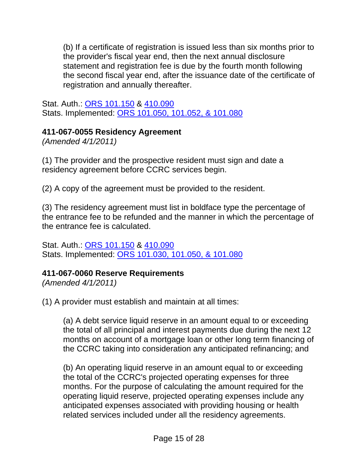<span id="page-15-0"></span>(b) If a certificate of registration is issued less than six months prior to the provider's fiscal year end, then the next annual disclosure statement and registration fee is due by the fourth month following the second fiscal year end, after the issuance date of the certificate of registration and annually thereafter.

Stat. Auth.: [ORS 101.150](http://www.leg.state.or.us/ors/101.html) & [410.090](http://www.leg.state.or.us/ors/410.html)  Stats. Implemented: [ORS 101.050, 101.052, & 101.080](http://www.leg.state.or.us/ors/101.html)

# **411-067-0055 Residency Agreement**

*(Amended 4/1/2011)* 

(1) The provider and the prospective resident must sign and date a residency agreement before CCRC services begin.

(2) A copy of the agreement must be provided to the resident.

(3) The residency agreement must list in boldface type the percentage of the entrance fee to be refunded and the manner in which the percentage of the entrance fee is calculated.

Stat. Auth.: [ORS 101.150](http://www.leg.state.or.us/ors/101.html) & [410.090](http://www.leg.state.or.us/ors/410.html)  Stats. Implemented: [ORS 101.030, 101.050, & 101.080](http://www.leg.state.or.us/ors/101.html)

# **411-067-0060 Reserve Requirements**

*(Amended 4/1/2011)* 

(1) A provider must establish and maintain at all times:

(a) A debt service liquid reserve in an amount equal to or exceeding the total of all principal and interest payments due during the next 12 months on account of a mortgage loan or other long term financing of the CCRC taking into consideration any anticipated refinancing; and

(b) An operating liquid reserve in an amount equal to or exceeding the total of the CCRC's projected operating expenses for three months. For the purpose of calculating the amount required for the operating liquid reserve, projected operating expenses include any anticipated expenses associated with providing housing or health related services included under all the residency agreements.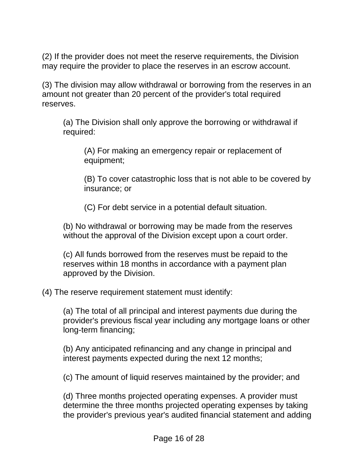(2) If the provider does not meet the reserve requirements, the Division may require the provider to place the reserves in an escrow account.

(3) The division may allow withdrawal or borrowing from the reserves in an amount not greater than 20 percent of the provider's total required reserves.

(a) The Division shall only approve the borrowing or withdrawal if required:

(A) For making an emergency repair or replacement of equipment;

(B) To cover catastrophic loss that is not able to be covered by insurance; or

(C) For debt service in a potential default situation.

(b) No withdrawal or borrowing may be made from the reserves without the approval of the Division except upon a court order.

(c) All funds borrowed from the reserves must be repaid to the reserves within 18 months in accordance with a payment plan approved by the Division.

(4) The reserve requirement statement must identify:

(a) The total of all principal and interest payments due during the provider's previous fiscal year including any mortgage loans or other long-term financing;

(b) Any anticipated refinancing and any change in principal and interest payments expected during the next 12 months;

(c) The amount of liquid reserves maintained by the provider; and

(d) Three months projected operating expenses. A provider must determine the three months projected operating expenses by taking the provider's previous year's audited financial statement and adding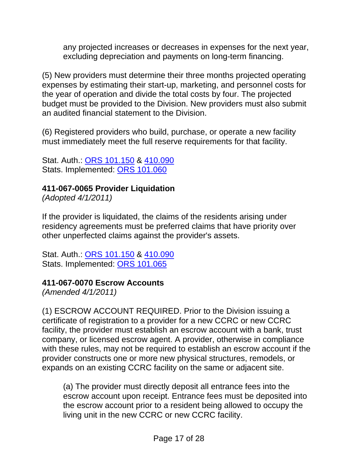<span id="page-17-0"></span>any projected increases or decreases in expenses for the next year, excluding depreciation and payments on long-term financing.

(5) New providers must determine their three months projected operating expenses by estimating their start-up, marketing, and personnel costs for the year of operation and divide the total costs by four. The projected budget must be provided to the Division. New providers must also submit an audited financial statement to the Division.

(6) Registered providers who build, purchase, or operate a new facility must immediately meet the full reserve requirements for that facility.

Stat. Auth.: [ORS 101.150](http://www.leg.state.or.us/ors/101.html) & [410.090](http://www.leg.state.or.us/ors/410.html)  Stats. Implemented: [ORS 101.060](http://www.leg.state.or.us/ors/101.html)

# **411-067-0065 Provider Liquidation**

*(Adopted 4/1/2011)* 

If the provider is liquidated, the claims of the residents arising under residency agreements must be preferred claims that have priority over other unperfected claims against the provider's assets.

Stat. Auth.: [ORS 101.150](http://www.leg.state.or.us/ors/101.html) & [410.090](http://www.leg.state.or.us/ors/410.html) Stats. Implemented: [ORS 101.065](http://www.leg.state.or.us/ors/101.html)

# **411-067-0070 Escrow Accounts**

*(Amended 4/1/2011)* 

(1) ESCROW ACCOUNT REQUIRED. Prior to the Division issuing a certificate of registration to a provider for a new CCRC or new CCRC facility, the provider must establish an escrow account with a bank, trust company, or licensed escrow agent. A provider, otherwise in compliance with these rules, may not be required to establish an escrow account if the provider constructs one or more new physical structures, remodels, or expands on an existing CCRC facility on the same or adjacent site.

(a) The provider must directly deposit all entrance fees into the escrow account upon receipt. Entrance fees must be deposited into the escrow account prior to a resident being allowed to occupy the living unit in the new CCRC or new CCRC facility.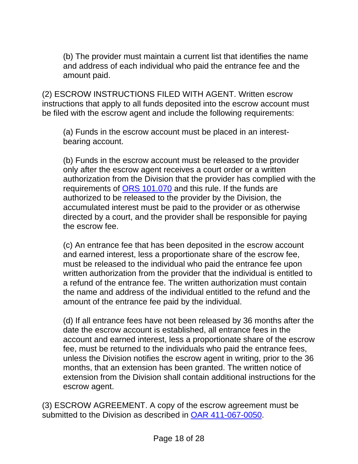(b) The provider must maintain a current list that identifies the name and address of each individual who paid the entrance fee and the amount paid.

(2) ESCROW INSTRUCTIONS FILED WITH AGENT. Written escrow instructions that apply to all funds deposited into the escrow account must be filed with the escrow agent and include the following requirements:

(a) Funds in the escrow account must be placed in an interestbearing account.

(b) Funds in the escrow account must be released to the provider only after the escrow agent receives a court order or a written authorization from the Division that the provider has complied with the requirements of [ORS 101.070](http://www.leg.state.or.us/ors/101.html) and this rule. If the funds are authorized to be released to the provider by the Division, the accumulated interest must be paid to the provider or as otherwise directed by a court, and the provider shall be responsible for paying the escrow fee.

(c) An entrance fee that has been deposited in the escrow account and earned interest, less a proportionate share of the escrow fee, must be released to the individual who paid the entrance fee upon written authorization from the provider that the individual is entitled to a refund of the entrance fee. The written authorization must contain the name and address of the individual entitled to the refund and the amount of the entrance fee paid by the individual.

(d) If all entrance fees have not been released by 36 months after the date the escrow account is established, all entrance fees in the account and earned interest, less a proportionate share of the escrow fee, must be returned to the individuals who paid the entrance fees, unless the Division notifies the escrow agent in writing, prior to the 36 months, that an extension has been granted. The written notice of extension from the Division shall contain additional instructions for the escrow agent.

(3) ESCROW AGREEMENT. A copy of the escrow agreement must be submitted to the Division as described in [OAR 411-067-0050.](#page-9-0)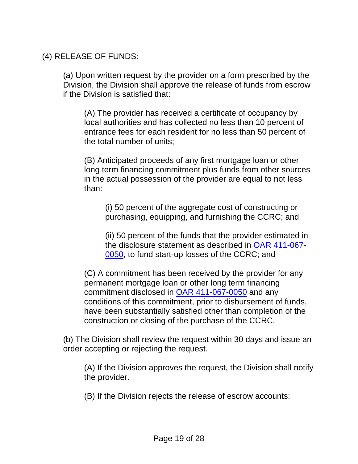(4) RELEASE OF FUNDS:

(a) Upon written request by the provider on a form prescribed by the Division, the Division shall approve the release of funds from escrow if the Division is satisfied that:

(A) The provider has received a certificate of occupancy by local authorities and has collected no less than 10 percent of entrance fees for each resident for no less than 50 percent of the total number of units;

(B) Anticipated proceeds of any first mortgage loan or other long term financing commitment plus funds from other sources in the actual possession of the provider are equal to not less than:

(i) 50 percent of the aggregate cost of constructing or purchasing, equipping, and furnishing the CCRC; and

(ii) 50 percent of the funds that the provider estimated in the disclosure statement as described in [OAR 411-067-](#page-9-0) [0050](#page-9-0), to fund start-up losses of the CCRC; and

(C) A commitment has been received by the provider for any permanent mortgage loan or other long term financing commitment disclosed in [OAR 411-067-0050](#page-9-0) and any conditions of this commitment, prior to disbursement of funds, have been substantially satisfied other than completion of the construction or closing of the purchase of the CCRC.

(b) The Division shall review the request within 30 days and issue an order accepting or rejecting the request.

(A) If the Division approves the request, the Division shall notify the provider.

(B) If the Division rejects the release of escrow accounts: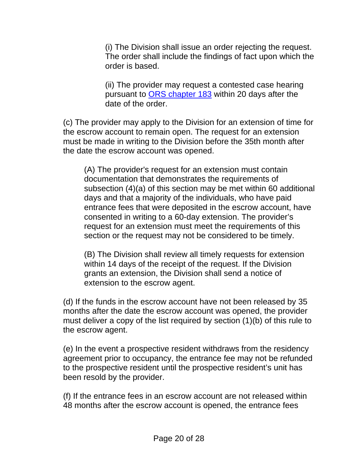(i) The Division shall issue an order rejecting the request. The order shall include the findings of fact upon which the order is based.

(ii) The provider may request a contested case hearing pursuant to [ORS chapter 183](http://www.leg.state.or.us/ors/183.html) within 20 days after the date of the order.

(c) The provider may apply to the Division for an extension of time for the escrow account to remain open. The request for an extension must be made in writing to the Division before the 35th month after the date the escrow account was opened.

(A) The provider's request for an extension must contain documentation that demonstrates the requirements of subsection (4)(a) of this section may be met within 60 additional days and that a majority of the individuals, who have paid entrance fees that were deposited in the escrow account, have consented in writing to a 60-day extension. The provider's request for an extension must meet the requirements of this section or the request may not be considered to be timely.

(B) The Division shall review all timely requests for extension within 14 days of the receipt of the request. If the Division grants an extension, the Division shall send a notice of extension to the escrow agent.

(d) If the funds in the escrow account have not been released by 35 months after the date the escrow account was opened, the provider must deliver a copy of the list required by section (1)(b) of this rule to the escrow agent.

(e) In the event a prospective resident withdraws from the residency agreement prior to occupancy, the entrance fee may not be refunded to the prospective resident until the prospective resident's unit has been resold by the provider.

(f) If the entrance fees in an escrow account are not released within 48 months after the escrow account is opened, the entrance fees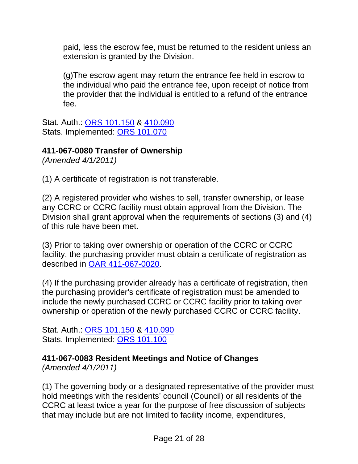<span id="page-21-0"></span>paid, less the escrow fee, must be returned to the resident unless an extension is granted by the Division.

(g)The escrow agent may return the entrance fee held in escrow to the individual who paid the entrance fee, upon receipt of notice from the provider that the individual is entitled to a refund of the entrance fee.

Stat. Auth.: [ORS 101.150](http://www.leg.state.or.us/ors/101.html) & [410.090](http://www.leg.state.or.us/ors/410.html) Stats. Implemented: [ORS 101.070](http://www.leg.state.or.us/ors/101.html)

# **411-067-0080 Transfer of Ownership**

*(Amended 4/1/2011)* 

(1) A certificate of registration is not transferable.

(2) A registered provider who wishes to sell, transfer ownership, or lease any CCRC or CCRC facility must obtain approval from the Division. The Division shall grant approval when the requirements of sections (3) and (4) of this rule have been met.

(3) Prior to taking over ownership or operation of the CCRC or CCRC facility, the purchasing provider must obtain a certificate of registration as described in [OAR 411-067-0020.](#page-7-0)

(4) If the purchasing provider already has a certificate of registration, then the purchasing provider's certificate of registration must be amended to include the newly purchased CCRC or CCRC facility prior to taking over ownership or operation of the newly purchased CCRC or CCRC facility.

Stat. Auth.: [ORS 101.150](http://www.leg.state.or.us/ors/101.html) & [410.090](http://www.leg.state.or.us/ors/410.html)  Stats. Implemented: [ORS 101.100](http://www.leg.state.or.us/ors/101.html)

**411-067-0083 Resident Meetings and Notice of Changes** 

*(Amended 4/1/2011)* 

(1) The governing body or a designated representative of the provider must hold meetings with the residents' council (Council) or all residents of the CCRC at least twice a year for the purpose of free discussion of subjects that may include but are not limited to facility income, expenditures,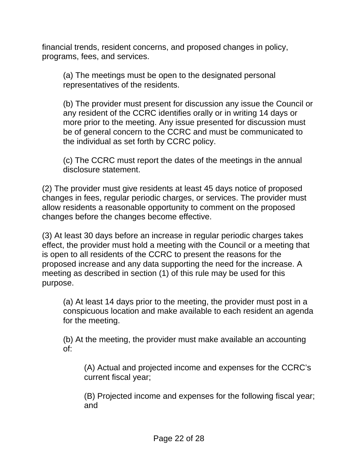financial trends, resident concerns, and proposed changes in policy, programs, fees, and services.

(a) The meetings must be open to the designated personal representatives of the residents.

(b) The provider must present for discussion any issue the Council or any resident of the CCRC identifies orally or in writing 14 days or more prior to the meeting. Any issue presented for discussion must be of general concern to the CCRC and must be communicated to the individual as set forth by CCRC policy.

(c) The CCRC must report the dates of the meetings in the annual disclosure statement.

(2) The provider must give residents at least 45 days notice of proposed changes in fees, regular periodic charges, or services. The provider must allow residents a reasonable opportunity to comment on the proposed changes before the changes become effective.

(3) At least 30 days before an increase in regular periodic charges takes effect, the provider must hold a meeting with the Council or a meeting that is open to all residents of the CCRC to present the reasons for the proposed increase and any data supporting the need for the increase. A meeting as described in section (1) of this rule may be used for this purpose.

(a) At least 14 days prior to the meeting, the provider must post in a conspicuous location and make available to each resident an agenda for the meeting.

(b) At the meeting, the provider must make available an accounting of:

(A) Actual and projected income and expenses for the CCRC's current fiscal year;

(B) Projected income and expenses for the following fiscal year; and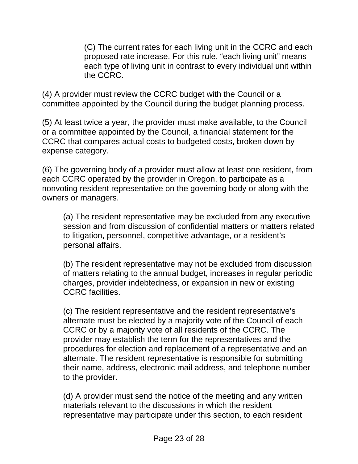(C) The current rates for each living unit in the CCRC and each proposed rate increase. For this rule, "each living unit" means each type of living unit in contrast to every individual unit within the CCRC.

(4) A provider must review the CCRC budget with the Council or a committee appointed by the Council during the budget planning process.

(5) At least twice a year, the provider must make available, to the Council or a committee appointed by the Council, a financial statement for the CCRC that compares actual costs to budgeted costs, broken down by expense category.

(6) The governing body of a provider must allow at least one resident, from each CCRC operated by the provider in Oregon, to participate as a nonvoting resident representative on the governing body or along with the owners or managers.

(a) The resident representative may be excluded from any executive session and from discussion of confidential matters or matters related to litigation, personnel, competitive advantage, or a resident's personal affairs.

(b) The resident representative may not be excluded from discussion of matters relating to the annual budget, increases in regular periodic charges, provider indebtedness, or expansion in new or existing CCRC facilities.

(c) The resident representative and the resident representative's alternate must be elected by a majority vote of the Council of each CCRC or by a majority vote of all residents of the CCRC. The provider may establish the term for the representatives and the procedures for election and replacement of a representative and an alternate. The resident representative is responsible for submitting their name, address, electronic mail address, and telephone number to the provider.

(d) A provider must send the notice of the meeting and any written materials relevant to the discussions in which the resident representative may participate under this section, to each resident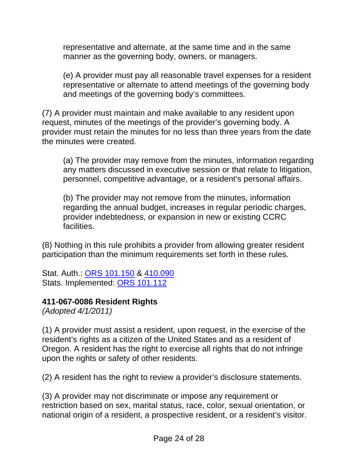<span id="page-24-0"></span>representative and alternate, at the same time and in the same manner as the governing body, owners, or managers.

(e) A provider must pay all reasonable travel expenses for a resident representative or alternate to attend meetings of the governing body and meetings of the governing body's committees.

(7) A provider must maintain and make available to any resident upon request, minutes of the meetings of the provider's governing body. A provider must retain the minutes for no less than three years from the date the minutes were created.

(a) The provider may remove from the minutes, information regarding any matters discussed in executive session or that relate to litigation, personnel, competitive advantage, or a resident's personal affairs.

(b) The provider may not remove from the minutes, information regarding the annual budget, increases in regular periodic charges, provider indebtedness, or expansion in new or existing CCRC facilities.

(8) Nothing in this rule prohibits a provider from allowing greater resident participation than the minimum requirements set forth in these rules.

Stat. Auth.: [ORS 101.150](http://www.leg.state.or.us/ors/101.html) & 410.090 Stats. Implemented: [ORS 101.112](http://www.leg.state.or.us/ors/101.html)

# **411-067-0086 Resident Rights**

*(Adopted 4/1/2011)* 

(1) A provider must assist a resident, upon request, in the exercise of the resident's rights as a citizen of the United States and as a resident of Oregon. A resident has the right to exercise all rights that do not infringe upon the rights or safety of other residents.

(2) A resident has the right to review a provider's disclosure statements.

(3) A provider may not discriminate or impose any requirement or restriction based on sex, marital status, race, color, sexual orientation, or national origin of a resident, a prospective resident, or a resident's visitor.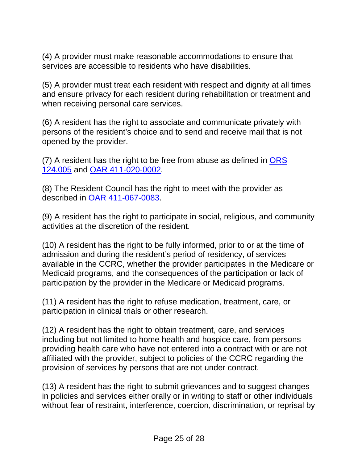(4) A provider must make reasonable accommodations to ensure that services are accessible to residents who have disabilities.

(5) A provider must treat each resident with respect and dignity at all times and ensure privacy for each resident during rehabilitation or treatment and when receiving personal care services.

(6) A resident has the right to associate and communicate privately with persons of the resident's choice and to send and receive mail that is not opened by the provider.

(7) A resident has the right to be free from abuse as defined in [ORS](http://www.leg.state.or.us/ors/124.html)  [124.005](http://www.leg.state.or.us/ors/124.html) and [OAR 411-020-0002](http://www.dhs.state.or.us/policy/spd/rules/411_020.pdf).

(8) The Resident Council has the right to meet with the provider as described in [OAR 411-067-0083.](#page-21-0)

(9) A resident has the right to participate in social, religious, and community activities at the discretion of the resident.

(10) A resident has the right to be fully informed, prior to or at the time of admission and during the resident's period of residency, of services available in the CCRC, whether the provider participates in the Medicare or Medicaid programs, and the consequences of the participation or lack of participation by the provider in the Medicare or Medicaid programs.

(11) A resident has the right to refuse medication, treatment, care, or participation in clinical trials or other research.

(12) A resident has the right to obtain treatment, care, and services including but not limited to home health and hospice care, from persons providing health care who have not entered into a contract with or are not affiliated with the provider, subject to policies of the CCRC regarding the provision of services by persons that are not under contract.

(13) A resident has the right to submit grievances and to suggest changes in policies and services either orally or in writing to staff or other individuals without fear of restraint, interference, coercion, discrimination, or reprisal by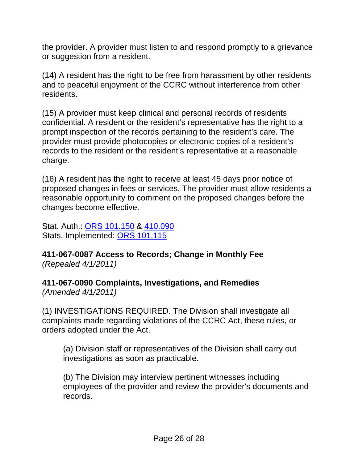<span id="page-26-0"></span>the provider. A provider must listen to and respond promptly to a grievance or suggestion from a resident.

(14) A resident has the right to be free from harassment by other residents and to peaceful enjoyment of the CCRC without interference from other residents.

(15) A provider must keep clinical and personal records of residents confidential. A resident or the resident's representative has the right to a prompt inspection of the records pertaining to the resident's care. The provider must provide photocopies or electronic copies of a resident's records to the resident or the resident's representative at a reasonable charge.

(16) A resident has the right to receive at least 45 days prior notice of proposed changes in fees or services. The provider must allow residents a reasonable opportunity to comment on the proposed changes before the changes become effective.

Stat. Auth.: [ORS 101.150](http://www.leg.state.or.us/ors/101.html) & [410.090](http://www.leg.state.or.us/ors/410.html)  Stats. Implemented: [ORS 101.115](http://www.leg.state.or.us/ors/101.html)

**411-067-0087 Access to Records; Change in Monthly Fee**  *(Repealed 4/1/2011)* 

**411-067-0090 Complaints, Investigations, and Remedies**  *(Amended 4/1/2011)* 

(1) INVESTIGATIONS REQUIRED. The Division shall investigate all complaints made regarding violations of the CCRC Act, these rules, or orders adopted under the Act.

(a) Division staff or representatives of the Division shall carry out investigations as soon as practicable.

(b) The Division may interview pertinent witnesses including employees of the provider and review the provider's documents and records.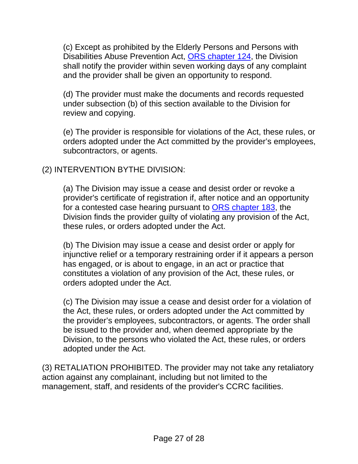(c) Except as prohibited by the Elderly Persons and Persons with Disabilities Abuse Prevention Act, [ORS chapter 124](http://www.leg.state.or.us/ors/124.html), the Division shall notify the provider within seven working days of any complaint and the provider shall be given an opportunity to respond.

(d) The provider must make the documents and records requested under subsection (b) of this section available to the Division for review and copying.

(e) The provider is responsible for violations of the Act, these rules, or orders adopted under the Act committed by the provider's employees, subcontractors, or agents.

#### (2) INTERVENTION BYTHE DIVISION:

(a) The Division may issue a cease and desist order or revoke a provider's certificate of registration if, after notice and an opportunity for a contested case hearing pursuant to [ORS chapter 183,](http://www.leg.state.or.us/ors/183.html) the Division finds the provider guilty of violating any provision of the Act, these rules, or orders adopted under the Act.

(b) The Division may issue a cease and desist order or apply for injunctive relief or a temporary restraining order if it appears a person has engaged, or is about to engage, in an act or practice that constitutes a violation of any provision of the Act, these rules, or orders adopted under the Act.

(c) The Division may issue a cease and desist order for a violation of the Act, these rules, or orders adopted under the Act committed by the provider's employees, subcontractors, or agents. The order shall be issued to the provider and, when deemed appropriate by the Division, to the persons who violated the Act, these rules, or orders adopted under the Act.

(3) RETALIATION PROHIBITED. The provider may not take any retaliatory action against any complainant, including but not limited to the management, staff, and residents of the provider's CCRC facilities.